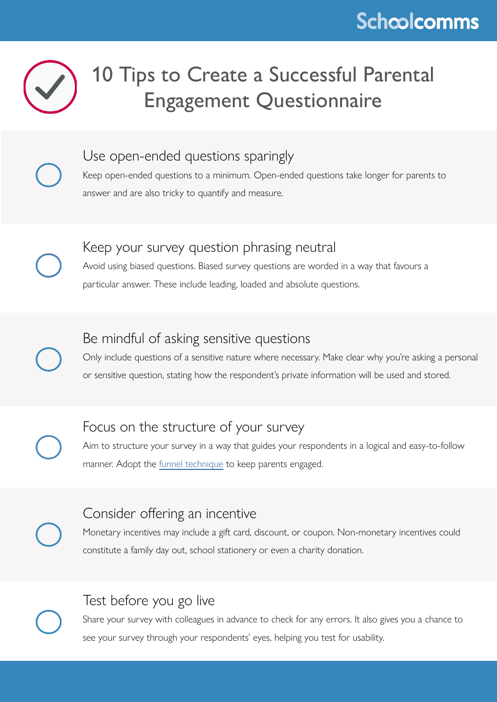## **Schcolcomms**



# 10 Tips to Create a Successful Parental Engagement Questionnaire

Use open-ended questions sparingly

Keep open-ended questions to a minimum. Open-ended questions take longer for parents to answer and are also tricky to quantify and measure.

#### Keep your survey question phrasing neutral

Avoid using biased questions. Biased survey questions are worded in a way that favours a particular answer. These include leading, loaded and absolute questions.

### Be mindful of asking sensitive questions

Only include questions of a sensitive nature where necessary. Make clear why you're asking a personal or sensitive question, stating how the respondent's private information will be used and stored.

## Focus on the structure of your survey

Aim to structure your survey in a way that guides your respondents in a logical and easy-to-follow manner. Adopt the [funnel technique](https://www.qualtrics.com/uk/experience-management/research/survey-question-sequence/) to keep parents engaged.

### Consider offering an incentive

Monetary incentives may include a gift card, discount, or coupon. Non-monetary incentives could constitute a family day out, school stationery or even a charity donation.

## Test before you go live

Share your survey with colleagues in advance to check for any errors. It also gives you a chance to see your survey through your respondents' eyes, helping you test for usability.